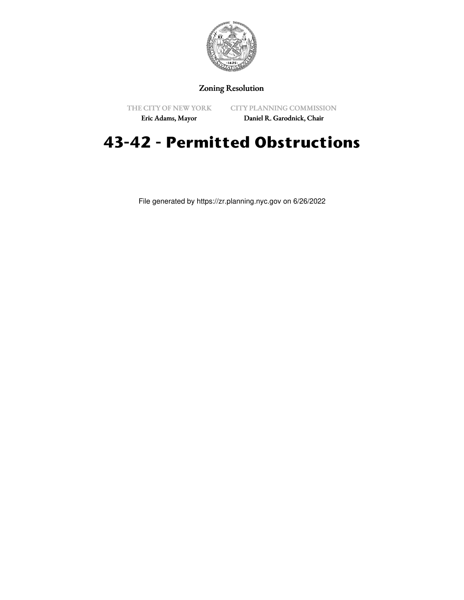

## Zoning Resolution

THE CITY OF NEW YORK

CITY PLANNING COMMISSION

Eric Adams, Mayor

Daniel R. Garodnick, Chair

## **43-42 - Permitted Obstructions**

File generated by https://zr.planning.nyc.gov on 6/26/2022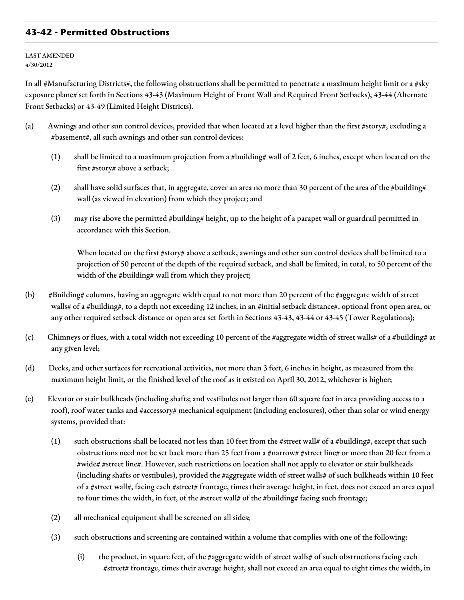## **43-42 - Permitted Obstructions**

LAST AMENDED 4/30/2012

In all #Manufacturing Districts#, the following obstructions shall be permitted to penetrate a maximum height limit or a #sky exposure plane# set forth in Sections 43-43 (Maximum Height of Front Wall and Required Front Setbacks), 43-44 (Alternate Front Setbacks) or 43-49 (Limited Height Districts).

- (a) Awnings and other sun control devices, provided that when located at a level higher than the first #story#, excluding a #basement#, all such awnings and other sun control devices:
	- (1) shall be limited to a maximum projection from a #building# wall of 2 feet, 6 inches, except when located on the first #story# above a setback;
	- (2) shall have solid surfaces that, in aggregate, cover an area no more than 30 percent of the area of the #building# wall (as viewed in elevation) from which they project; and
	- (3) may rise above the permitted #building# height, up to the height of a parapet wall or guardrail permitted in accordance with this Section.

When located on the first #story# above a setback, awnings and other sun control devices shall be limited to a projection of 50 percent of the depth of the required setback, and shall be limited, in total, to 50 percent of the width of the #building# wall from which they project;

- (b) #Building# columns, having an aggregate width equal to not more than 20 percent of the #aggregate width of street walls# of a #building#, to a depth not exceeding 12 inches, in an #initial setback distance#, optional front open area, or any other required setback distance or open area set forth in Sections 43-43, 43-44 or 43-45 (Tower Regulations);
- (c) Chimneys or flues, with a total width not exceeding 10 percent of the #aggregate width of street walls# of a #building# at any given level;
- (d) Decks, and other surfaces for recreational activities, not more than 3 feet, 6 inches in height, as measured from the maximum height limit, or the finished level of the roof as it existed on April 30, 2012, whichever is higher;
- (e) Elevator or stair bulkheads (including shafts; and vestibules not larger than 60 square feet in area providing access to a roof), roof water tanks and #accessory# mechanical equipment (including enclosures), other than solar or wind energy systems, provided that:
	- (1) such obstructions shall be located not less than 10 feet from the #street wall# of a #building#, except that such obstructions need not be set back more than 25 feet from a #narrow# #street line# or more than 20 feet from a #wide# #street line#. However, such restrictions on location shall not apply to elevator or stair bulkheads (including shafts or vestibules), provided the #aggregate width of street walls# of such bulkheads within 10 feet of a #street wall#, facing each #street# frontage, times their average height, in feet, does not exceed an area equal to four times the width, in feet, of the #street wall# of the #building# facing such frontage;
	- (2) all mechanical equipment shall be screened on all sides;
	- (3) such obstructions and screening are contained within a volume that complies with one of the following:
		- (i) the product, in square feet, of the #aggregate width of street walls# of such obstructions facing each #street# frontage, times their average height, shall not exceed an area equal to eight times the width, in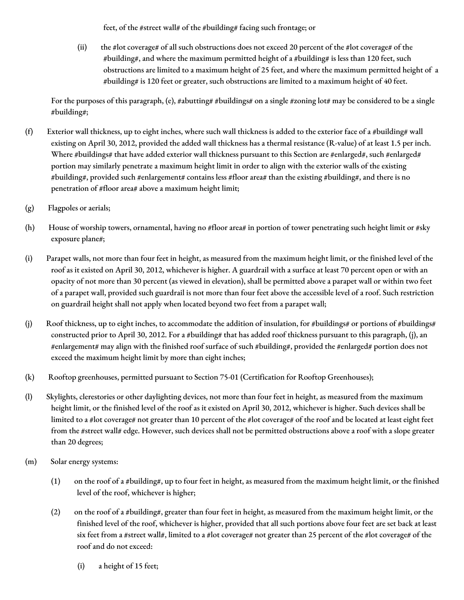feet, of the #street wall# of the #building# facing such frontage; or

(ii) the #lot coverage# of all such obstructions does not exceed 20 percent of the #lot coverage# of the #building#, and where the maximum permitted height of a #building# is less than 120 feet, such obstructions are limited to a maximum height of 25 feet, and where the maximum permitted height of a #building# is 120 feet or greater, such obstructions are limited to a maximum height of 40 feet.

For the purposes of this paragraph, (e), #abutting# #buildings# on a single #zoning lot# may be considered to be a single #building#;

- (f) Exterior wall thickness, up to eight inches, where such wall thickness is added to the exterior face of a #building# wall existing on April 30, 2012, provided the added wall thickness has a thermal resistance (R-value) of at least 1.5 per inch. Where #buildings# that have added exterior wall thickness pursuant to this Section are #enlarged#, such #enlarged# portion may similarly penetrate a maximum height limit in order to align with the exterior walls of the existing #building#, provided such #enlargement# contains less #floor area# than the existing #building#, and there is no penetration of #floor area# above a maximum height limit;
- (g) Flagpoles or aerials;
- (h) House of worship towers, ornamental, having no #floor area# in portion of tower penetrating such height limit or #sky exposure plane#;
- (i) Parapet walls, not more than four feet in height, as measured from the maximum height limit, or the finished level of the roof as it existed on April 30, 2012, whichever is higher. A guardrail with a surface at least 70 percent open or with an opacity of not more than 30 percent (as viewed in elevation), shall be permitted above a parapet wall or within two feet of a parapet wall, provided such guardrail is not more than four feet above the accessible level of a roof. Such restriction on guardrail height shall not apply when located beyond two feet from a parapet wall;
- (j) Roof thickness, up to eight inches, to accommodate the addition of insulation, for #buildings# or portions of #buildings# constructed prior to April 30, 2012. For a #building# that has added roof thickness pursuant to this paragraph, (j), an #enlargement# may align with the finished roof surface of such #building#, provided the #enlarged# portion does not exceed the maximum height limit by more than eight inches;
- (k) Rooftop greenhouses, permitted pursuant to Section 75-01 (Certification for Rooftop Greenhouses);
- (l) Skylights, clerestories or other daylighting devices, not more than four feet in height, as measured from the maximum height limit, or the finished level of the roof as it existed on April 30, 2012, whichever is higher. Such devices shall be limited to a #lot coverage# not greater than 10 percent of the #lot coverage# of the roof and be located at least eight feet from the #street wall# edge. However, such devices shall not be permitted obstructions above a roof with a slope greater than 20 degrees;
- (m) Solar energy systems:
	- (1) on the roof of a #building#, up to four feet in height, as measured from the maximum height limit, or the finished level of the roof, whichever is higher;
	- (2) on the roof of a #building#, greater than four feet in height, as measured from the maximum height limit, or the finished level of the roof, whichever is higher, provided that all such portions above four feet are set back at least six feet from a #street wall#, limited to a #lot coverage# not greater than 25 percent of the #lot coverage# of the roof and do not exceed:
		- (i) a height of 15 feet;